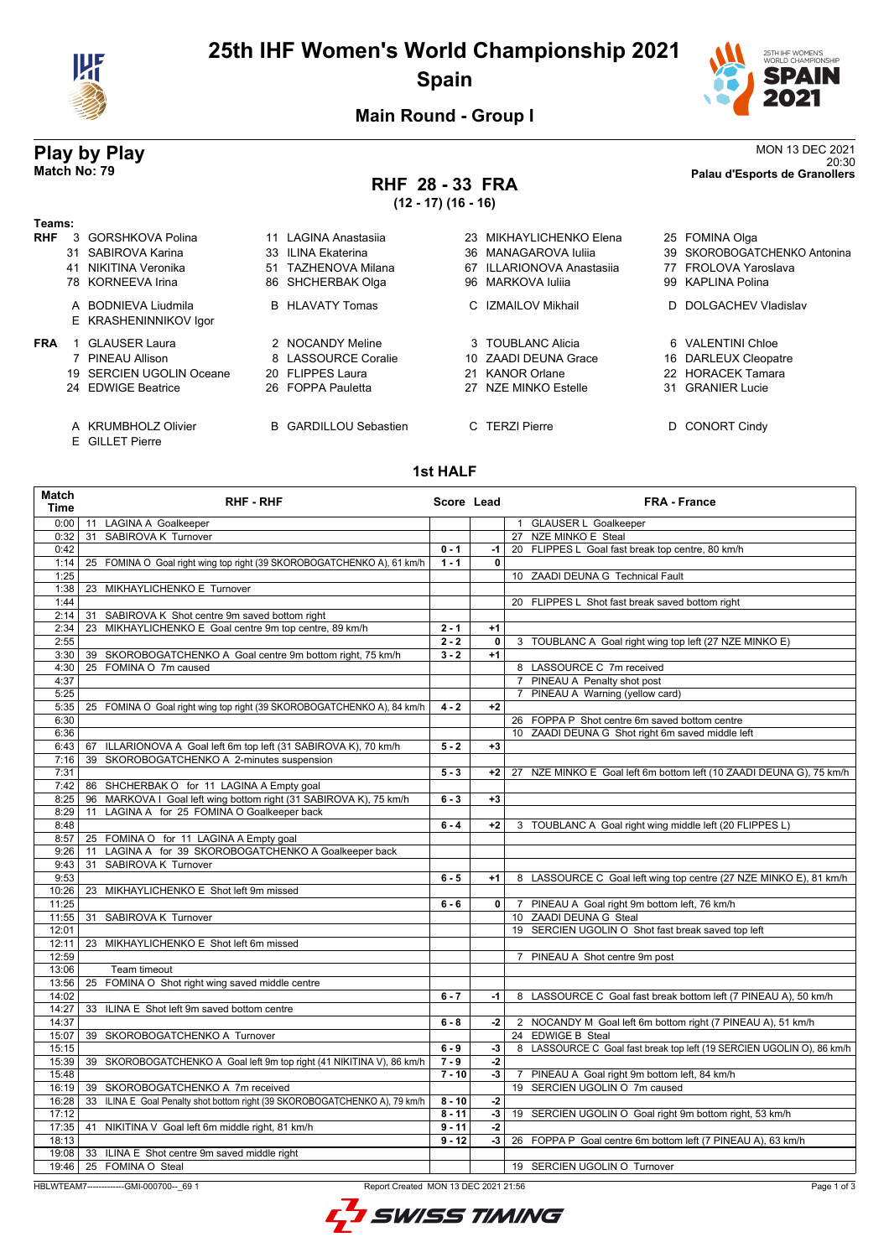

# **25th IHF Women's World Championship 2021 Spain**



**Main Round - Group I**

## **RHF 28 - 33 FRA (12 - 17) (16 - 16)**

**Play by Play**<br>MON 13 DEC 2021<br>Palau d'Esports de Granollers<br>Palau d'Esports de Granollers 20:30 **Match No: 79 Palau d'Esports de Granollers**

| Teams:     |                                              |                              |                           |                              |
|------------|----------------------------------------------|------------------------------|---------------------------|------------------------------|
| <b>RHF</b> | 3 GORSHKOVA Polina                           | 11 LAGINA Anastasija         | 23 MIKHAYLICHENKO Elena   | 25 FOMINA Olga               |
|            | 31 SABIROVA Karina                           | 33 ILINA Ekaterina           | 36 MANAGAROVA Iulija      | 39 SKOROBOGATCHENKO Antonina |
|            | 41 NIKITINA Veronika                         | 51 TAZHENOVA Milana          | 67 ILLARIONOVA Anastasija | 77 FROLOVA Yaroslava         |
|            | 78 KORNEEVA Irina                            | 86 SHCHERBAK Olga            | 96 MARKOVA Iulija         | 99 KAPLINA Polina            |
|            | A BODNIEVA Liudmila<br>E KRASHENINNIKOV Igor | <b>B</b> HLAVATY Tomas       | C IZMAILOV Mikhail        | D DOLGACHEV Vladislav        |
| <b>FRA</b> | <b>GLAUSER Laura</b>                         | 2 NOCANDY Meline             | 3 TOUBLANC Alicia         | 6 VALENTINI Chloe            |
|            | 7 PINEAU Allison                             | 8 LASSOURCE Coralie          | 10 ZAADI DEUNA Grace      | 16 DARLEUX Cleopatre         |
|            | 19 SERCIEN UGOLIN Oceane                     | 20 FLIPPES Laura             | 21 KANOR Orlane           | 22 HORACEK Tamara            |
|            | 24 EDWIGE Beatrice                           | 26 FOPPA Pauletta            | 27 NZE MINKO Estelle      | 31 GRANIER Lucie             |
|            | A KRUMBHOLZ Olivier<br>E GILLET Pierre       | <b>B</b> GARDILLOU Sebastien | C TERZI Pierre            | D CONORT Cindy               |

#### **1st HALF**

| Match<br><b>Time</b> | <b>RHF - RHF</b>                                                                                | Score Lead |              | <b>FRA - France</b>                                                     |  |
|----------------------|-------------------------------------------------------------------------------------------------|------------|--------------|-------------------------------------------------------------------------|--|
| 0:00                 | 11 LAGINA A Goalkeeper                                                                          |            |              | 1 GLAUSER L Goalkeeper                                                  |  |
| 0:32                 | 31 SABIROVA K Turnover                                                                          |            |              | 27 NZE MINKO E Steal                                                    |  |
| 0:42                 |                                                                                                 | $0 - 1$    | $-1$         | 20 FLIPPES L Goal fast break top centre, 80 km/h                        |  |
| 1:14                 | 25 FOMINA O Goal right wing top right (39 SKOROBOGATCHENKO A), 61 km/h                          | $1 - 1$    | $\mathbf{0}$ |                                                                         |  |
| 1:25                 |                                                                                                 |            |              | 10 ZAADI DEUNA G Technical Fault                                        |  |
| 1:38                 | 23 MIKHAYLICHENKO E Turnover                                                                    |            |              |                                                                         |  |
| 1:44                 |                                                                                                 |            |              | 20 FLIPPES L Shot fast break saved bottom right                         |  |
| 2:14                 | 31 SABIROVA K Shot centre 9m saved bottom right                                                 |            |              |                                                                         |  |
| 2:34                 | MIKHAYLICHENKO E Goal centre 9m top centre, 89 km/h<br>23                                       | $2 - 1$    | $+1$         |                                                                         |  |
| 2:55                 |                                                                                                 | $2 - 2$    | 0            | 3 TOUBLANC A Goal right wing top left (27 NZE MINKO E)                  |  |
| 3:30                 | 39 SKOROBOGATCHENKO A Goal centre 9m bottom right, 75 km/h                                      | $3 - 2$    | $+1$         |                                                                         |  |
| 4:30                 | 25 FOMINA O 7m caused                                                                           |            |              | 8 LASSOURCE C 7m received                                               |  |
| 4:37                 |                                                                                                 |            |              | 7 PINEAU A Penalty shot post                                            |  |
| 5:25                 |                                                                                                 |            |              | 7 PINEAU A Warning (yellow card)                                        |  |
| 5:35                 | 25 FOMINA O Goal right wing top right (39 SKOROBOGATCHENKO A), 84 km/h                          | $4 - 2$    | $+2$         |                                                                         |  |
| 6:30                 |                                                                                                 |            |              | 26 FOPPA P Shot centre 6m saved bottom centre                           |  |
| 6:36                 |                                                                                                 |            |              | 10 ZAADI DEUNA G Shot right 6m saved middle left                        |  |
| 6:43                 | 67 ILLARIONOVA A Goal left 6m top left (31 SABIROVA K), 70 km/h                                 | $5 - 2$    | $+3$         |                                                                         |  |
| 7:16                 | 39 SKOROBOGATCHENKO A 2-minutes suspension                                                      |            |              |                                                                         |  |
| 7:31                 |                                                                                                 | $5 - 3$    | $+2$         | 27 NZE MINKO E Goal left 6m bottom left (10 ZAADI DEUNA G), 75 km/h     |  |
| 7:42                 | 86 SHCHERBAK O for 11 LAGINA A Empty goal                                                       |            |              |                                                                         |  |
| 8:25                 | 96 MARKOVA I Goal left wing bottom right (31 SABIROVA K), 75 km/h                               | $6 - 3$    | $+3$         |                                                                         |  |
| 8:29                 | LAGINA A for 25 FOMINA O Goalkeeper back<br>11                                                  |            |              |                                                                         |  |
| 8:48                 |                                                                                                 | $6 - 4$    | $+2$         | 3 TOUBLANC A Goal right wing middle left (20 FLIPPES L)                 |  |
| 8:57                 | 25 FOMINA O for 11 LAGINA A Empty goal                                                          |            |              |                                                                         |  |
| 9:26                 | LAGINA A for 39 SKOROBOGATCHENKO A Goalkeeper back<br>11                                        |            |              |                                                                         |  |
| 9:43                 | SABIROVA K Turnover<br>31                                                                       |            |              |                                                                         |  |
| 9:53                 |                                                                                                 | $6 - 5$    | $+1$         |                                                                         |  |
| 10:26                | 23 MIKHAYLICHENKO E Shot left 9m missed                                                         |            |              | 8 LASSOURCE C Goal left wing top centre (27 NZE MINKO E), 81 km/h       |  |
| 11:25                |                                                                                                 | $6 - 6$    | $\mathbf{0}$ |                                                                         |  |
| 11:55                | 31 SABIROVA K Turnover                                                                          |            |              | 7 PINEAU A Goal right 9m bottom left, 76 km/h<br>10 ZAADI DEUNA G Steal |  |
|                      |                                                                                                 |            |              | 19 SERCIEN UGOLIN O Shot fast break saved top left                      |  |
| 12:01                |                                                                                                 |            |              |                                                                         |  |
| 12:11                | 23 MIKHAYLICHENKO E Shot left 6m missed                                                         |            |              |                                                                         |  |
| 12:59                |                                                                                                 |            |              | 7 PINEAU A Shot centre 9m post                                          |  |
| 13:06                | Team timeout                                                                                    |            |              |                                                                         |  |
| 13:56                | 25 FOMINA O Shot right wing saved middle centre                                                 |            |              |                                                                         |  |
| 14:02                |                                                                                                 | $6 - 7$    | $-1$         | 8 LASSOURCE C Goal fast break bottom left (7 PINEAU A), 50 km/h         |  |
| 14:27                | 33 ILINA E Shot left 9m saved bottom centre                                                     |            |              |                                                                         |  |
| 14:37                |                                                                                                 | $6 - 8$    | $-2$         | 2 NOCANDY M Goal left 6m bottom right (7 PINEAU A), 51 km/h             |  |
| 15:07                | 39 SKOROBOGATCHENKO A Turnover                                                                  |            |              | 24 EDWIGE B Steal                                                       |  |
| 15:15                |                                                                                                 | $6 - 9$    | $-3$         | 8 LASSOURCE C Goal fast break top left (19 SERCIEN UGOLIN O), 86 km/h   |  |
| 15:39                | 39 SKOROBOGATCHENKO A Goal left 9m top right (41 NIKITINA V), 86 km/h                           | $7 - 9$    | -2           |                                                                         |  |
| 15:48                |                                                                                                 | $7 - 10$   | $-3$         | 7 PINEAU A Goal right 9m bottom left, 84 km/h                           |  |
| 16:19                | 39 SKOROBOGATCHENKO A 7m received                                                               |            |              | 19 SERCIEN UGOLIN O 7m caused                                           |  |
| 16:28                | 33 ILINA E Goal Penalty shot bottom right (39 SKOROBOGATCHENKO A), 79 km/h                      | $8 - 10$   | $-2$         |                                                                         |  |
| 17:12                |                                                                                                 | $8 - 11$   | $-3$         | 19 SERCIEN UGOLIN O Goal right 9m bottom right, 53 km/h                 |  |
|                      | 17:35   41 NIKITINA V Goal left 6m middle right, 81 km/h                                        | $9 - 11$   | -2           |                                                                         |  |
| 18:13                |                                                                                                 | $9 - 12$   | $-3$         | 26 FOPPA P Goal centre 6m bottom left (7 PINEAU A), 63 km/h             |  |
|                      | 19:08   33 ILINA E Shot centre 9m saved middle right                                            |            |              |                                                                         |  |
| 19:46                | 25 FOMINA O Steal                                                                               |            |              | 19 SERCIEN UGOLIN O Turnover                                            |  |
|                      | Report Created MON 13 DEC 2021 21:56<br>Page 1 of 3<br>HBLWTEAM7--------------GMI-000700-- 69 1 |            |              |                                                                         |  |

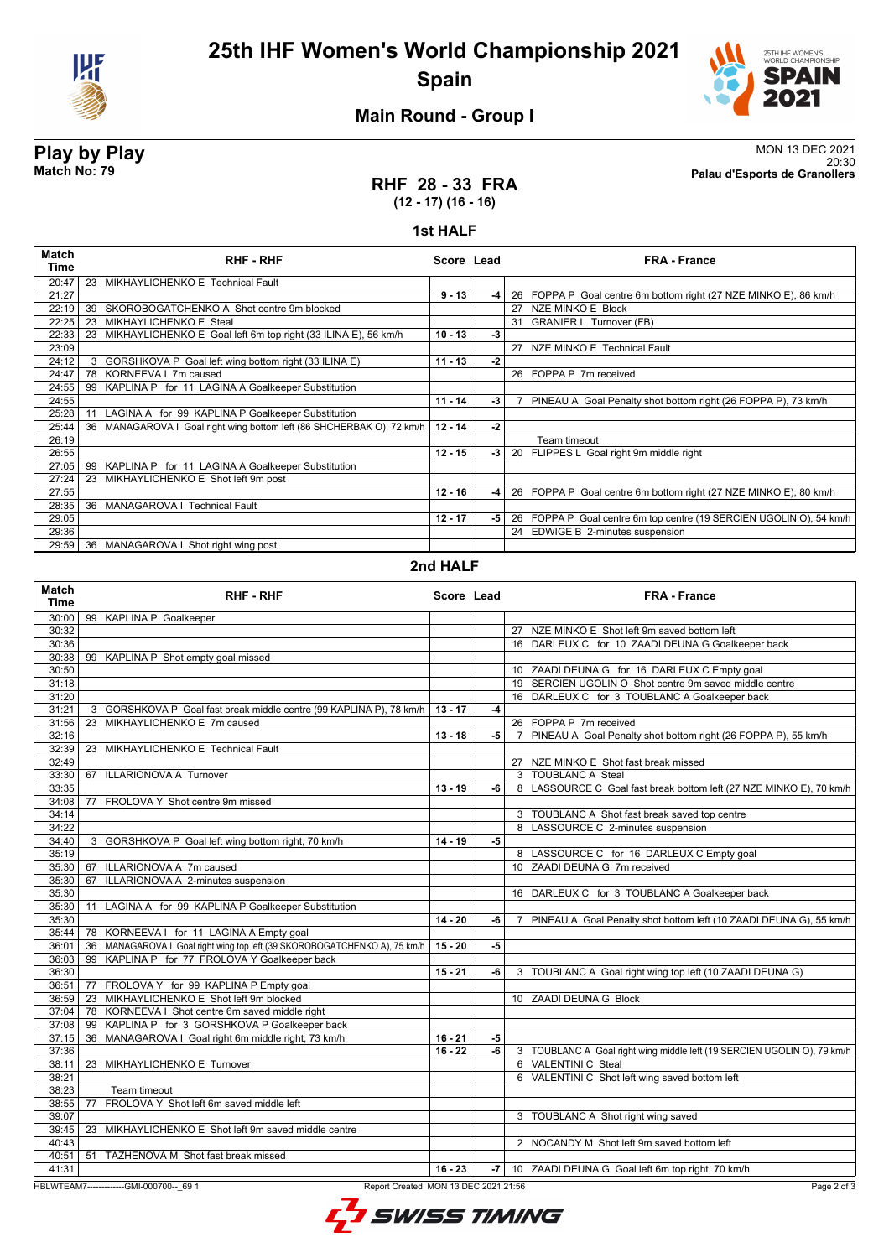



## **Main Round - Group I**

**Play by Play**<br>MON 13 DEC 2021<br>Palau d'Esports de Granollers<br>Palau d'Esports de Granollers 20:30 **Match No: 79 Palau d'Esports de Granollers**

### **RHF 28 - 33 FRA (12 - 17) (16 - 16)**

#### **1st HALF**

| Match<br>Time | <b>RHF - RHF</b>                                                         | Score Lead |      | <b>FRA - France</b>                                                 |
|---------------|--------------------------------------------------------------------------|------------|------|---------------------------------------------------------------------|
| 20:47         | MIKHAYLICHENKO E Technical Fault<br>23                                   |            |      |                                                                     |
| 21:27         |                                                                          | $9 - 13$   | $-4$ | 26 FOPPA P Goal centre 6m bottom right (27 NZE MINKO E), 86 km/h    |
| 22:19         | SKOROBOGATCHENKO A Shot centre 9m blocked<br>39                          |            |      | NZE MINKO E Block<br>27                                             |
| 22:25         | MIKHAYLICHENKO E Steal<br>23                                             |            |      | 31 GRANIER L Turnover (FB)                                          |
| 22:33         | MIKHAYLICHENKO E Goal left 6m top right (33 ILINA E), 56 km/h<br>23      | $10 - 13$  | $-3$ |                                                                     |
| 23:09         |                                                                          |            |      | 27 NZE MINKO E Technical Fault                                      |
| 24:12         | 3 GORSHKOVA P Goal left wing bottom right (33 ILINA E)                   | $11 - 13$  | -2   |                                                                     |
| 24:47         | 78 KORNEEVA   7m caused                                                  |            |      | 26 FOPPA P 7m received                                              |
| 24:55         | KAPLINA P for 11 LAGINA A Goalkeeper Substitution<br>99                  |            |      |                                                                     |
| 24:55         |                                                                          | $11 - 14$  | $-3$ | PINEAU A Goal Penalty shot bottom right (26 FOPPA P), 73 km/h       |
| 25:28         | LAGINA A for 99 KAPLINA P Goalkeeper Substitution<br>11                  |            |      |                                                                     |
| 25:44         | MANAGAROVA I Goal right wing bottom left (86 SHCHERBAK O), 72 km/h<br>36 | $12 - 14$  | -2   |                                                                     |
| 26:19         |                                                                          |            |      | Team timeout                                                        |
| 26:55         |                                                                          | $12 - 15$  | $-3$ | 20 FLIPPES L Goal right 9m middle right                             |
| 27:05         | 99 KAPLINA P for 11 LAGINA A Goalkeeper Substitution                     |            |      |                                                                     |
| 27:24         | MIKHAYLICHENKO E Shot left 9m post<br>23                                 |            |      |                                                                     |
| 27:55         |                                                                          | $12 - 16$  | $-4$ | 26 FOPPA P Goal centre 6m bottom right (27 NZE MINKO E), 80 km/h    |
| 28:35         | 36<br><b>MANAGAROVA I Technical Fault</b>                                |            |      |                                                                     |
| 29:05         |                                                                          | $12 - 17$  | $-5$ | 26 FOPPA P Goal centre 6m top centre (19 SERCIEN UGOLIN O), 54 km/h |
| 29:36         |                                                                          |            |      | 24 EDWIGE B 2-minutes suspension                                    |
| 29:59         | 36<br>MANAGAROVA I Shot right wing post                                  |            |      |                                                                     |

### **2nd HALF**

| <b>Match</b><br><b>Time</b> | <b>RHF - RHF</b>                                                          | Score Lead |      | <b>FRA - France</b>                                                     |
|-----------------------------|---------------------------------------------------------------------------|------------|------|-------------------------------------------------------------------------|
| 30:00                       | 99 KAPLINA P Goalkeeper                                                   |            |      |                                                                         |
| 30:32                       |                                                                           |            |      | 27 NZE MINKO E Shot left 9m saved bottom left                           |
| 30:36                       |                                                                           |            |      | 16 DARLEUX C for 10 ZAADI DEUNA G Goalkeeper back                       |
| 30:38                       | 99 KAPLINA P Shot empty goal missed                                       |            |      |                                                                         |
| 30:50                       |                                                                           |            |      | 10 ZAADI DEUNA G for 16 DARLEUX C Empty goal                            |
| 31:18                       |                                                                           |            |      | 19 SERCIEN UGOLIN O Shot centre 9m saved middle centre                  |
| 31:20                       |                                                                           |            |      | 16 DARLEUX C for 3 TOUBLANC A Goalkeeper back                           |
| 31:21                       | 3 GORSHKOVA P Goal fast break middle centre (99 KAPLINA P), 78 km/h       | $13 - 17$  | -4   |                                                                         |
| 31:56                       | 23 MIKHAYLICHENKO E 7m caused                                             |            |      | 26 FOPPA P 7m received                                                  |
| 32:16                       |                                                                           | $13 - 18$  | -5   | 7 PINEAU A Goal Penalty shot bottom right (26 FOPPA P), 55 km/h         |
| 32:39                       | 23 MIKHAYLICHENKO E Technical Fault                                       |            |      |                                                                         |
| 32:49                       |                                                                           |            |      | 27 NZE MINKO E Shot fast break missed                                   |
| 33:30                       | 67 ILLARIONOVA A Turnover                                                 |            |      | 3 TOUBLANC A Steal                                                      |
| 33:35                       |                                                                           | $13 - 19$  | -6   | 8 LASSOURCE C Goal fast break bottom left (27 NZE MINKO E), 70 km/h     |
| 34:08                       | 77 FROLOVA Y Shot centre 9m missed                                        |            |      |                                                                         |
| 34:14                       |                                                                           |            |      | 3 TOUBLANC A Shot fast break saved top centre                           |
| 34:22                       |                                                                           |            |      | 8 LASSOURCE C 2-minutes suspension                                      |
| 34:40                       | 3 GORSHKOVA P Goal left wing bottom right, 70 km/h                        | $14 - 19$  | $-5$ |                                                                         |
| 35:19                       |                                                                           |            |      | 8 LASSOURCE C for 16 DARLEUX C Empty goal                               |
| 35:30                       | 67 ILLARIONOVA A 7m caused                                                |            |      | 10 ZAADI DEUNA G 7m received                                            |
| 35:30                       | 67 ILLARIONOVA A 2-minutes suspension                                     |            |      |                                                                         |
| 35:30                       |                                                                           |            |      | 16 DARLEUX C for 3 TOUBLANC A Goalkeeper back                           |
| 35:30                       | 11 LAGINA A for 99 KAPLINA P Goalkeeper Substitution                      |            |      |                                                                         |
| 35:30                       |                                                                           | $14 - 20$  | -6   | PINEAU A Goal Penalty shot bottom left (10 ZAADI DEUNA G), 55 km/h<br>7 |
| 35:44                       | 78 KORNEEVA I for 11 LAGINA A Empty goal                                  |            |      |                                                                         |
| 36:01                       | 36 MANAGAROVA I Goal right wing top left (39 SKOROBOGATCHENKO A), 75 km/h | $15 - 20$  | -5   |                                                                         |
| 36:03                       | 99 KAPLINA P for 77 FROLOVA Y Goalkeeper back                             |            |      |                                                                         |
| 36:30                       |                                                                           | $15 - 21$  | -6   | 3 TOUBLANC A Goal right wing top left (10 ZAADI DEUNA G)                |
| 36:51                       | 77 FROLOVA Y for 99 KAPLINA P Empty goal                                  |            |      |                                                                         |
| 36:59                       | 23 MIKHAYLICHENKO E Shot left 9m blocked                                  |            |      | 10 ZAADI DEUNA G Block                                                  |
| 37:04                       | 78 KORNEEVA I Shot centre 6m saved middle right                           |            |      |                                                                         |
| 37:08                       | 99 KAPLINA P for 3 GORSHKOVA P Goalkeeper back                            |            |      |                                                                         |
| 37:15                       | 36 MANAGAROVA I Goal right 6m middle right, 73 km/h                       | $16 - 21$  | -5   |                                                                         |
| 37:36                       |                                                                           | $16 - 22$  | -6   | 3 TOUBLANC A Goal right wing middle left (19 SERCIEN UGOLIN O), 79 km/h |
| 38:11                       | 23 MIKHAYLICHENKO E Turnover                                              |            |      | 6 VALENTINI C Steal                                                     |
| 38:21                       |                                                                           |            |      | 6 VALENTINI C Shot left wing saved bottom left                          |
| 38:23                       | Team timeout                                                              |            |      |                                                                         |
| 38:55                       | FROLOVA Y Shot left 6m saved middle left<br>77                            |            |      |                                                                         |
| 39:07                       |                                                                           |            |      | 3 TOUBLANC A Shot right wing saved                                      |
| 39:45                       | 23 MIKHAYLICHENKO E Shot left 9m saved middle centre                      |            |      |                                                                         |
| 40:43                       |                                                                           |            |      | 2 NOCANDY M Shot left 9m saved bottom left                              |
| 40:51                       | 51 TAZHENOVA M Shot fast break missed                                     |            |      |                                                                         |
| 41:31                       |                                                                           | $16 - 23$  | -7   | 10 ZAADI DEUNA G Goal left 6m top right, 70 km/h                        |
|                             |                                                                           |            |      |                                                                         |

HBLWTEAM7-------------GMI-000700--\_69 1 Report Created MON 13 DEC 2021 21:56